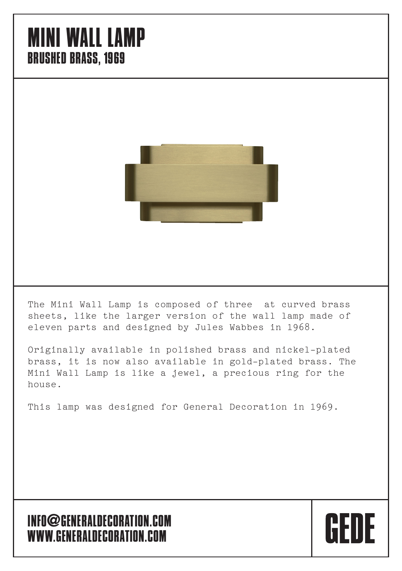## MINI WALL LAMP BRUSHED BRASS, 1969



The Mini Wall Lamp is composed of three at curved brass sheets, like the larger version of the wall lamp made of eleven parts and designed by Jules Wabbes in 1968.

Originally available in polished brass and nickel-plated brass, it is now also available in gold-plated brass. The Mini Wall Lamp is like a jewel, a precious ring for the house.

GFNF

This lamp was designed for General Decoration in 1969.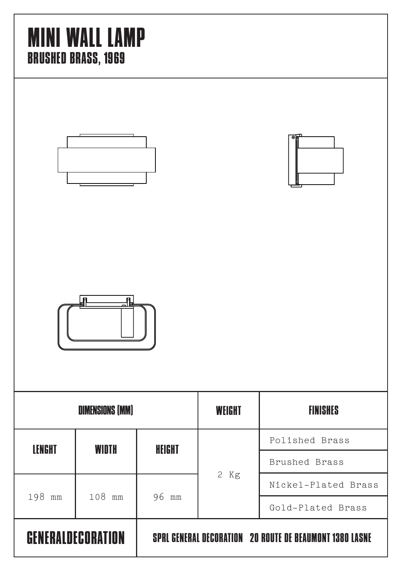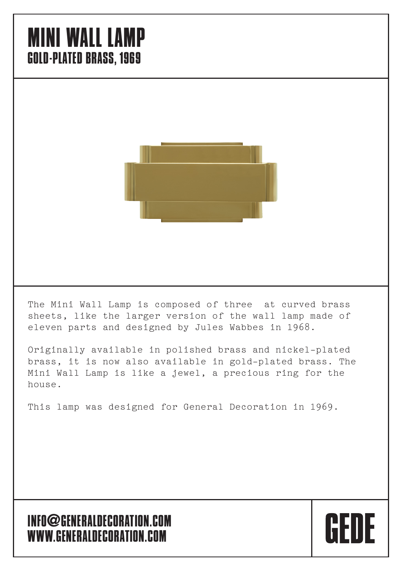## MINI WALL LAMP GOLD-PLATED BRASS, 1969



The Mini Wall Lamp is composed of three at curved brass sheets, like the larger version of the wall lamp made of eleven parts and designed by Jules Wabbes in 1968.

Originally available in polished brass and nickel-plated brass, it is now also available in gold-plated brass. The Mini Wall Lamp is like a jewel, a precious ring for the house.

GFNF

This lamp was designed for General Decoration in 1969.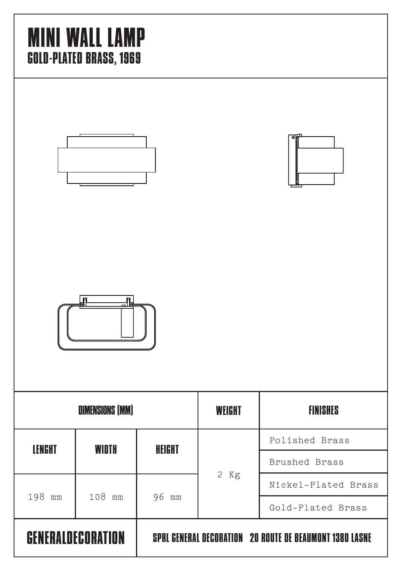# MINI WALL LAMP

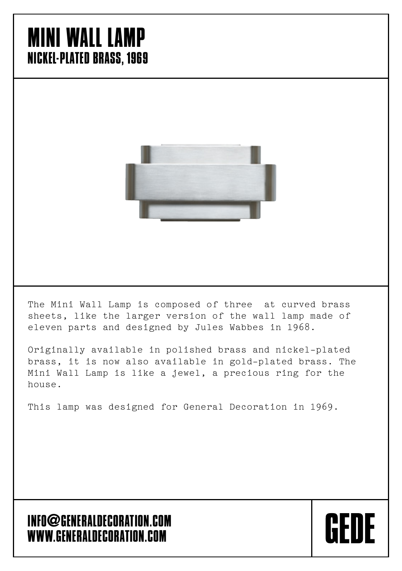## MINI WALL LAMP NICKEL-PLATED BRASS, 1969



The Mini Wall Lamp is composed of three at curved brass sheets, like the larger version of the wall lamp made of eleven parts and designed by Jules Wabbes in 1968.

Originally available in polished brass and nickel-plated brass, it is now also available in gold-plated brass. The Mini Wall Lamp is like a jewel, a precious ring for the house.

GFNF

This lamp was designed for General Decoration in 1969.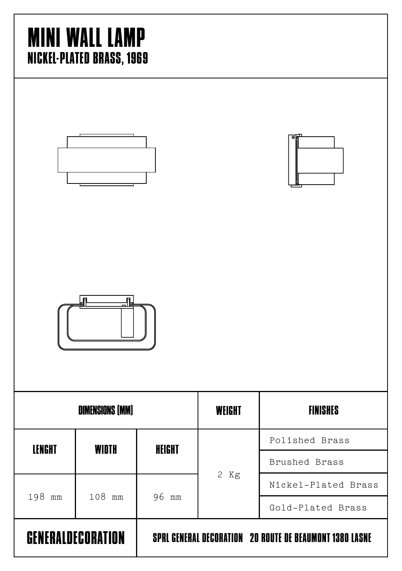# MINI WALL LAMP

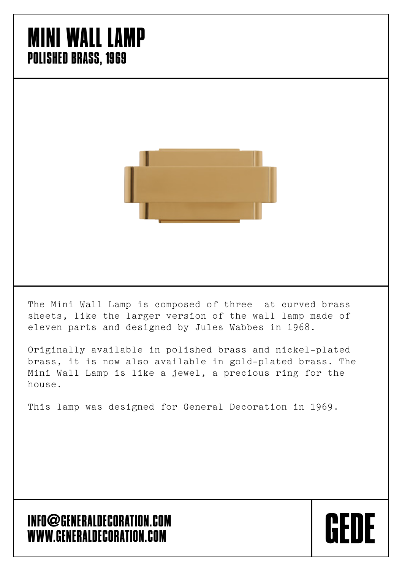## MINI WALL LAMP POLISHED BRASS, 1969



The Mini Wall Lamp is composed of three at curved brass sheets, like the larger version of the wall lamp made of eleven parts and designed by Jules Wabbes in 1968.

Originally available in polished brass and nickel-plated brass, it is now also available in gold-plated brass. The Mini Wall Lamp is like a jewel, a precious ring for the house.

GEDE

This lamp was designed for General Decoration in 1969.